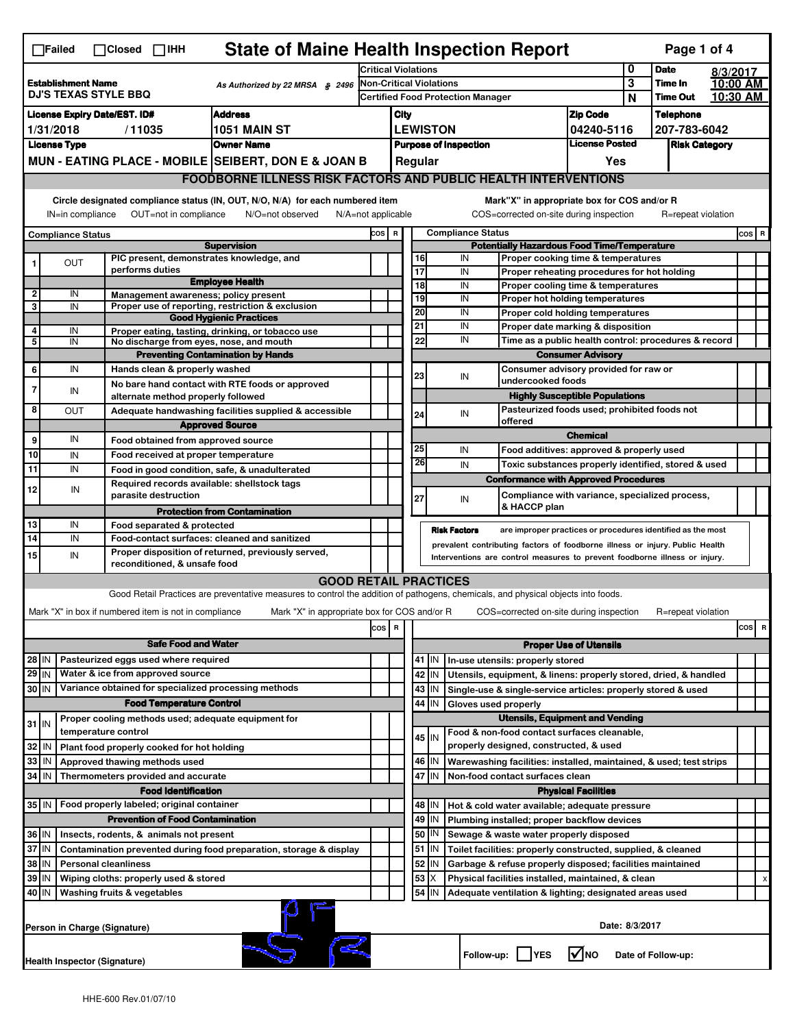|                                                                                                                                 | <b>State of Maine Health Inspection Report</b><br>Page 1 of 4<br>$\Box$ Failed<br>$\Box$ Closed $\Box$ IHH |  |                                                                     |                                                                                                                                                                   |                                                                     |                                                                                                        |                              |                     |                                                                                                        |             |                                                                                                                                  |                               |              |                      |  |          |
|---------------------------------------------------------------------------------------------------------------------------------|------------------------------------------------------------------------------------------------------------|--|---------------------------------------------------------------------|-------------------------------------------------------------------------------------------------------------------------------------------------------------------|---------------------------------------------------------------------|--------------------------------------------------------------------------------------------------------|------------------------------|---------------------|--------------------------------------------------------------------------------------------------------|-------------|----------------------------------------------------------------------------------------------------------------------------------|-------------------------------|--------------|----------------------|--|----------|
| <b>Establishment Name</b><br>As Authorized by 22 MRSA § 2496<br><b>DJ'S TEXAS STYLE BBQ</b>                                     |                                                                                                            |  |                                                                     | 0<br><b>Critical Violations</b>                                                                                                                                   |                                                                     |                                                                                                        |                              |                     |                                                                                                        | <b>Date</b> | 8/3/2017                                                                                                                         |                               |              |                      |  |          |
|                                                                                                                                 |                                                                                                            |  |                                                                     |                                                                                                                                                                   | Non-Critical Violations<br><b>Certified Food Protection Manager</b> |                                                                                                        |                              |                     |                                                                                                        |             | 3<br>N                                                                                                                           | Time In<br><b>Time Out</b>    |              | 10:00 AM<br>10:30 AM |  |          |
| <b>Address</b><br><b>License Expiry Date/EST. ID#</b>                                                                           |                                                                                                            |  |                                                                     |                                                                                                                                                                   | City<br><b>Zip Code</b>                                             |                                                                                                        |                              |                     |                                                                                                        |             | <b>Telephone</b>                                                                                                                 |                               |              |                      |  |          |
| 1/31/2018<br>/11035<br><b>1051 MAIN ST</b>                                                                                      |                                                                                                            |  |                                                                     |                                                                                                                                                                   | <b>LEWISTON</b>                                                     |                                                                                                        |                              |                     |                                                                                                        |             | 04240-5116                                                                                                                       |                               | 207-783-6042 |                      |  |          |
|                                                                                                                                 | <b>Owner Name</b><br><b>License Type</b>                                                                   |  |                                                                     |                                                                                                                                                                   |                                                                     |                                                                                                        | <b>Purpose of Inspection</b> |                     |                                                                                                        |             |                                                                                                                                  | <b>License Posted</b>         |              | <b>Risk Category</b> |  |          |
| MUN - EATING PLACE - MOBILE SEIBERT, DON E & JOAN B                                                                             |                                                                                                            |  |                                                                     |                                                                                                                                                                   |                                                                     | Regular<br>Yes                                                                                         |                              |                     |                                                                                                        |             |                                                                                                                                  |                               |              |                      |  |          |
|                                                                                                                                 |                                                                                                            |  |                                                                     | <b>FOODBORNE ILLNESS RISK FACTORS AND PUBLIC HEALTH INTERVENTIONS</b>                                                                                             |                                                                     |                                                                                                        |                              |                     |                                                                                                        |             |                                                                                                                                  |                               |              |                      |  |          |
|                                                                                                                                 | IN=in compliance                                                                                           |  | OUT=not in compliance                                               | Circle designated compliance status (IN, OUT, N/O, N/A) for each numbered item<br>N/O=not observed                                                                |                                                                     |                                                                                                        |                              |                     |                                                                                                        |             | Mark"X" in appropriate box for COS and/or R                                                                                      |                               |              | R=repeat violation   |  |          |
|                                                                                                                                 |                                                                                                            |  |                                                                     |                                                                                                                                                                   |                                                                     | COS=corrected on-site during inspection<br>$N/A = not$ applicable<br><b>Compliance Status</b><br>COS R |                              |                     |                                                                                                        |             |                                                                                                                                  |                               |              |                      |  | $cos$ R  |
| <b>Compliance Status</b><br><b>Supervision</b>                                                                                  |                                                                                                            |  |                                                                     |                                                                                                                                                                   | <b>Potentially Hazardous Food Time/Temperature</b>                  |                                                                                                        |                              |                     |                                                                                                        |             |                                                                                                                                  |                               |              |                      |  |          |
|                                                                                                                                 | OUT                                                                                                        |  | PIC present, demonstrates knowledge, and                            |                                                                                                                                                                   |                                                                     |                                                                                                        |                              | 16                  | IN                                                                                                     |             | Proper cooking time & temperatures                                                                                               |                               |              |                      |  |          |
|                                                                                                                                 |                                                                                                            |  | performs duties                                                     | <b>Employee Health</b>                                                                                                                                            |                                                                     |                                                                                                        |                              | 17<br>18            | IN<br>IN                                                                                               |             | Proper reheating procedures for hot holding<br>Proper cooling time & temperatures                                                |                               |              |                      |  |          |
| 2                                                                                                                               | IN                                                                                                         |  | Management awareness; policy present                                |                                                                                                                                                                   |                                                                     |                                                                                                        |                              | 19                  | IN                                                                                                     |             | Proper hot holding temperatures                                                                                                  |                               |              |                      |  |          |
| 3                                                                                                                               | IN                                                                                                         |  |                                                                     | Proper use of reporting, restriction & exclusion<br><b>Good Hygienic Practices</b>                                                                                |                                                                     |                                                                                                        |                              | 20                  | IN                                                                                                     |             | Proper cold holding temperatures                                                                                                 |                               |              |                      |  |          |
| 4                                                                                                                               | IN                                                                                                         |  |                                                                     | Proper eating, tasting, drinking, or tobacco use                                                                                                                  |                                                                     |                                                                                                        |                              | 21                  | IN                                                                                                     |             | Proper date marking & disposition                                                                                                |                               |              |                      |  |          |
| 5                                                                                                                               | IN                                                                                                         |  | No discharge from eyes, nose, and mouth                             |                                                                                                                                                                   |                                                                     |                                                                                                        |                              | 22                  | IN                                                                                                     |             | Time as a public health control: procedures & record                                                                             |                               |              |                      |  |          |
|                                                                                                                                 |                                                                                                            |  |                                                                     | <b>Preventing Contamination by Hands</b>                                                                                                                          |                                                                     |                                                                                                        |                              |                     |                                                                                                        |             |                                                                                                                                  | <b>Consumer Advisory</b>      |              |                      |  |          |
| 6                                                                                                                               | IN                                                                                                         |  | Hands clean & properly washed                                       |                                                                                                                                                                   |                                                                     |                                                                                                        |                              | 23                  | IN                                                                                                     |             | Consumer advisory provided for raw or<br>undercooked foods                                                                       |                               |              |                      |  |          |
|                                                                                                                                 | IN                                                                                                         |  |                                                                     | No bare hand contact with RTE foods or approved                                                                                                                   |                                                                     |                                                                                                        |                              |                     |                                                                                                        |             | <b>Highly Susceptible Populations</b>                                                                                            |                               |              |                      |  |          |
| 8                                                                                                                               | OUT                                                                                                        |  | alternate method properly followed                                  | Adequate handwashing facilities supplied & accessible                                                                                                             |                                                                     |                                                                                                        |                              |                     |                                                                                                        |             | Pasteurized foods used; prohibited foods not                                                                                     |                               |              |                      |  |          |
|                                                                                                                                 |                                                                                                            |  |                                                                     | <b>Approved Source</b>                                                                                                                                            |                                                                     |                                                                                                        |                              | 24                  | IN                                                                                                     |             | offered                                                                                                                          |                               |              |                      |  |          |
| 9                                                                                                                               | IN                                                                                                         |  | Food obtained from approved source                                  |                                                                                                                                                                   |                                                                     |                                                                                                        |                              |                     |                                                                                                        |             |                                                                                                                                  | <b>Chemical</b>               |              |                      |  |          |
| 10                                                                                                                              | IN                                                                                                         |  | Food received at proper temperature                                 |                                                                                                                                                                   |                                                                     |                                                                                                        |                              | 25                  | IN                                                                                                     |             | Food additives: approved & properly used                                                                                         |                               |              |                      |  |          |
| 11                                                                                                                              | IN                                                                                                         |  |                                                                     | Food in good condition, safe, & unadulterated                                                                                                                     |                                                                     |                                                                                                        |                              | 26                  | IN                                                                                                     |             | Toxic substances properly identified, stored & used                                                                              |                               |              |                      |  |          |
| 12                                                                                                                              | IN                                                                                                         |  | Required records available: shellstock tags<br>parasite destruction |                                                                                                                                                                   |                                                                     |                                                                                                        |                              | 27                  | IN                                                                                                     |             | <b>Conformance with Approved Procedures</b><br>Compliance with variance, specialized process,                                    |                               |              |                      |  |          |
|                                                                                                                                 |                                                                                                            |  |                                                                     | <b>Protection from Contamination</b>                                                                                                                              |                                                                     |                                                                                                        |                              |                     |                                                                                                        |             | & HACCP plan                                                                                                                     |                               |              |                      |  |          |
| 13                                                                                                                              | IN                                                                                                         |  | Food separated & protected                                          |                                                                                                                                                                   |                                                                     |                                                                                                        |                              |                     | <b>Risk Factors</b>                                                                                    |             | are improper practices or procedures identified as the most                                                                      |                               |              |                      |  |          |
| 14                                                                                                                              | IN                                                                                                         |  |                                                                     | Food-contact surfaces: cleaned and sanitized<br>Proper disposition of returned, previously served,                                                                |                                                                     |                                                                                                        |                              |                     |                                                                                                        |             | prevalent contributing factors of foodborne illness or injury. Public Health                                                     |                               |              |                      |  |          |
| 15                                                                                                                              | IN                                                                                                         |  | reconditioned, & unsafe food                                        |                                                                                                                                                                   |                                                                     |                                                                                                        |                              |                     |                                                                                                        |             | Interventions are control measures to prevent foodborne illness or injury.                                                       |                               |              |                      |  |          |
|                                                                                                                                 |                                                                                                            |  |                                                                     | <b>GOOD RETAIL PRACTICES</b><br>Good Retail Practices are preventative measures to control the addition of pathogens, chemicals, and physical objects into foods. |                                                                     |                                                                                                        |                              |                     |                                                                                                        |             |                                                                                                                                  |                               |              |                      |  |          |
|                                                                                                                                 |                                                                                                            |  |                                                                     |                                                                                                                                                                   |                                                                     |                                                                                                        |                              |                     |                                                                                                        |             |                                                                                                                                  |                               |              |                      |  |          |
|                                                                                                                                 |                                                                                                            |  | Mark "X" in box if numbered item is not in compliance               | Mark "X" in appropriate box for COS and/or R                                                                                                                      |                                                                     |                                                                                                        |                              |                     |                                                                                                        |             | COS=corrected on-site during inspection                                                                                          |                               |              | R=repeat violation   |  | cos<br>R |
| <b>Safe Food and Water</b>                                                                                                      |                                                                                                            |  |                                                                     | cos                                                                                                                                                               | R                                                                   |                                                                                                        |                              |                     |                                                                                                        |             |                                                                                                                                  |                               |              |                      |  |          |
|                                                                                                                                 |                                                                                                            |  | Pasteurized eggs used where required                                |                                                                                                                                                                   |                                                                     |                                                                                                        |                              |                     |                                                                                                        |             |                                                                                                                                  | <b>Proper Use of Utensils</b> |              |                      |  |          |
| 28 IN<br>$29$ IN                                                                                                                |                                                                                                            |  | Water & ice from approved source                                    |                                                                                                                                                                   |                                                                     |                                                                                                        |                              | 41   IN<br>42<br>IN |                                                                                                        |             | In-use utensils: properly stored                                                                                                 |                               |              |                      |  |          |
| 30 IN                                                                                                                           |                                                                                                            |  | Variance obtained for specialized processing methods                |                                                                                                                                                                   |                                                                     |                                                                                                        |                              | 43<br>IN            |                                                                                                        |             | Utensils, equipment, & linens: properly stored, dried, & handled<br>Single-use & single-service articles: properly stored & used |                               |              |                      |  |          |
|                                                                                                                                 |                                                                                                            |  | <b>Food Temperature Control</b>                                     |                                                                                                                                                                   |                                                                     |                                                                                                        |                              | IN<br>44            |                                                                                                        |             | Gloves used properly                                                                                                             |                               |              |                      |  |          |
|                                                                                                                                 |                                                                                                            |  | Proper cooling methods used; adequate equipment for                 |                                                                                                                                                                   |                                                                     |                                                                                                        |                              |                     |                                                                                                        |             | <b>Utensils, Equipment and Vending</b>                                                                                           |                               |              |                      |  |          |
| $31$ IN                                                                                                                         |                                                                                                            |  | temperature control                                                 |                                                                                                                                                                   |                                                                     |                                                                                                        |                              | 45 I IN             |                                                                                                        |             | Food & non-food contact surfaces cleanable,                                                                                      |                               |              |                      |  |          |
| 32                                                                                                                              | IN                                                                                                         |  | Plant food properly cooked for hot holding                          |                                                                                                                                                                   |                                                                     |                                                                                                        |                              |                     |                                                                                                        |             | properly designed, constructed, & used                                                                                           |                               |              |                      |  |          |
| 33<br>IN<br>Approved thawing methods used                                                                                       |                                                                                                            |  |                                                                     |                                                                                                                                                                   |                                                                     | 46<br>IN                                                                                               |                              |                     | Warewashing facilities: installed, maintained, & used; test strips                                     |             |                                                                                                                                  |                               |              |                      |  |          |
| 34<br>l IN<br>Thermometers provided and accurate                                                                                |                                                                                                            |  |                                                                     |                                                                                                                                                                   |                                                                     | 47 IN                                                                                                  |                              |                     | Non-food contact surfaces clean                                                                        |             |                                                                                                                                  |                               |              |                      |  |          |
|                                                                                                                                 |                                                                                                            |  | <b>Food Identification</b>                                          |                                                                                                                                                                   |                                                                     |                                                                                                        |                              |                     |                                                                                                        |             |                                                                                                                                  | <b>Physical Facilities</b>    |              |                      |  |          |
| 35 IN                                                                                                                           |                                                                                                            |  | Food properly labeled; original container                           |                                                                                                                                                                   |                                                                     |                                                                                                        |                              | 48   IN             |                                                                                                        |             | Hot & cold water available; adequate pressure                                                                                    |                               |              |                      |  |          |
| <b>Prevention of Food Contamination</b>                                                                                         |                                                                                                            |  |                                                                     |                                                                                                                                                                   |                                                                     | 49<br>IN                                                                                               |                              |                     | Plumbing installed; proper backflow devices                                                            |             |                                                                                                                                  |                               |              |                      |  |          |
| 36 IN<br>Insects, rodents, & animals not present<br>37 IN<br>Contamination prevented during food preparation, storage & display |                                                                                                            |  |                                                                     |                                                                                                                                                                   |                                                                     | 50   IN<br>51<br>IN                                                                                    |                              |                     | Sewage & waste water properly disposed<br>Toilet facilities: properly constructed, supplied, & cleaned |             |                                                                                                                                  |                               |              |                      |  |          |
| 38 IN<br><b>Personal cleanliness</b>                                                                                            |                                                                                                            |  |                                                                     |                                                                                                                                                                   |                                                                     | 52<br>IN                                                                                               |                              |                     | Garbage & refuse properly disposed; facilities maintained                                              |             |                                                                                                                                  |                               |              |                      |  |          |
| 39   IN<br>Wiping cloths: properly used & stored                                                                                |                                                                                                            |  |                                                                     |                                                                                                                                                                   |                                                                     | 53                                                                                                     |                              |                     | Physical facilities installed, maintained, & clean                                                     |             |                                                                                                                                  |                               |              | х                    |  |          |
| 40   IN<br>Washing fruits & vegetables                                                                                          |                                                                                                            |  |                                                                     |                                                                                                                                                                   |                                                                     | 54<br>IN                                                                                               |                              |                     | Adequate ventilation & lighting; designated areas used                                                 |             |                                                                                                                                  |                               |              |                      |  |          |
|                                                                                                                                 | Date: 8/3/2017<br>Person in Charge (Signature)                                                             |  |                                                                     |                                                                                                                                                                   |                                                                     |                                                                                                        |                              |                     |                                                                                                        |             |                                                                                                                                  |                               |              |                      |  |          |
|                                                                                                                                 | Health Inspector (Signature)                                                                               |  |                                                                     |                                                                                                                                                                   |                                                                     |                                                                                                        |                              |                     |                                                                                                        | Follow-up:  |                                                                                                                                  | ✔INO                          |              | Date of Follow-up:   |  |          |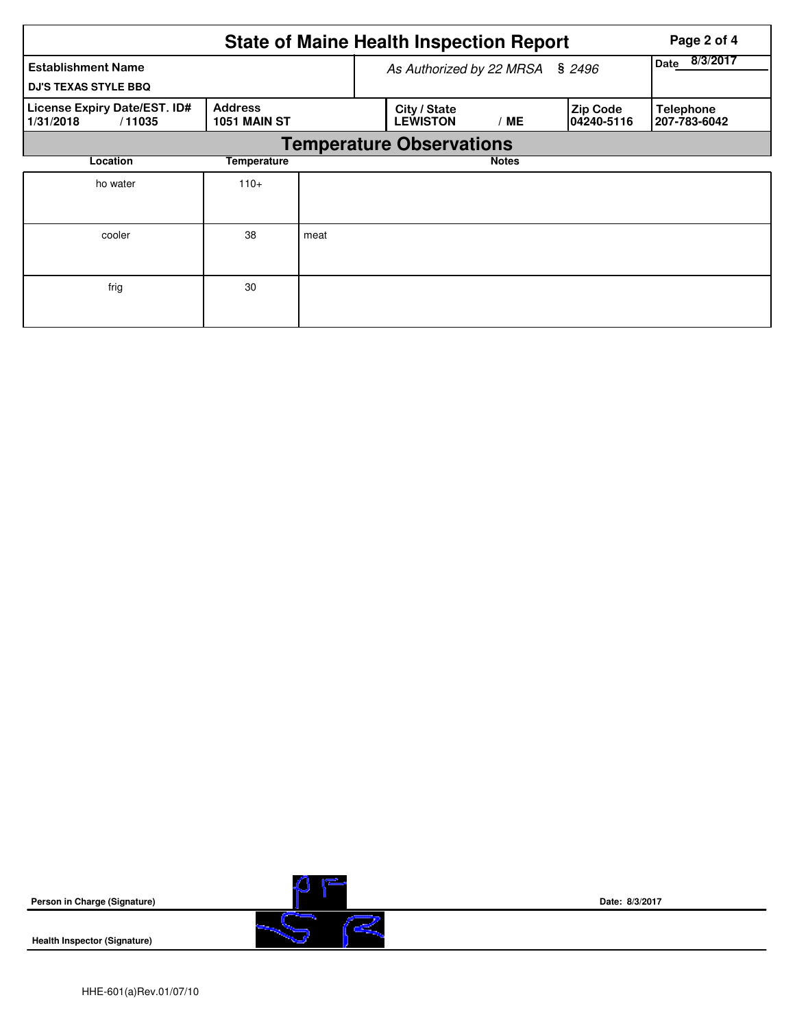| <b>State of Maine Health Inspection Report</b><br>Page 2 of 4 |                                       |      |                                 |                  |                               |                                  |  |  |  |  |  |
|---------------------------------------------------------------|---------------------------------------|------|---------------------------------|------------------|-------------------------------|----------------------------------|--|--|--|--|--|
| <b>Establishment Name</b><br><b>DJ'S TEXAS STYLE BBQ</b>      |                                       |      | As Authorized by 22 MRSA        | 8/3/2017<br>Date |                               |                                  |  |  |  |  |  |
| <b>License Expiry Date/EST. ID#</b><br>1/31/2018<br>/11035    | <b>Address</b><br><b>1051 MAIN ST</b> |      | City / State<br><b>LEWISTON</b> | / ME             | <b>Zip Code</b><br>04240-5116 | <b>Telephone</b><br>207-783-6042 |  |  |  |  |  |
| <b>Temperature Observations</b>                               |                                       |      |                                 |                  |                               |                                  |  |  |  |  |  |
| Location                                                      | Temperature                           |      |                                 | <b>Notes</b>     |                               |                                  |  |  |  |  |  |
| ho water                                                      | $110+$                                |      |                                 |                  |                               |                                  |  |  |  |  |  |
| cooler                                                        | 38                                    | meat |                                 |                  |                               |                                  |  |  |  |  |  |
| frig                                                          | 30                                    |      |                                 |                  |                               |                                  |  |  |  |  |  |

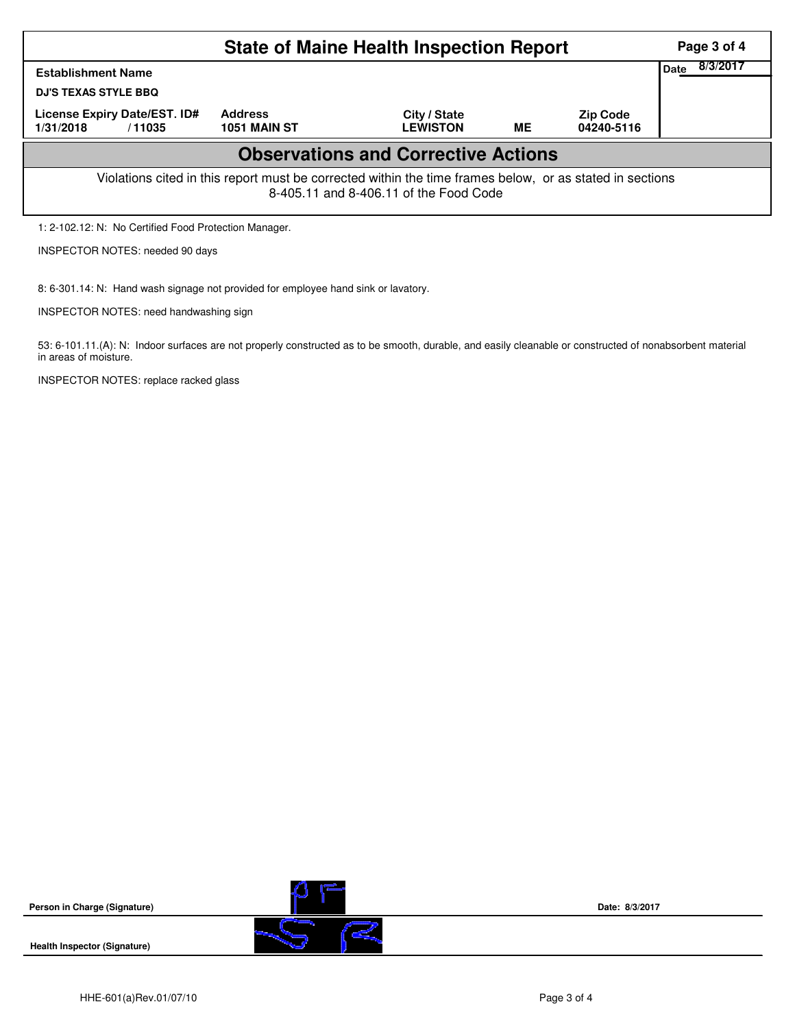|                                                                                          |                     | <b>State of Maine Health Inspection Report</b>                                                                                                     |           |                               | Page 3 of 4      |
|------------------------------------------------------------------------------------------|---------------------|----------------------------------------------------------------------------------------------------------------------------------------------------|-----------|-------------------------------|------------------|
| <b>Establishment Name</b><br><b>DJ'S TEXAS STYLE BBQ</b><br>License Expiry Date/EST. ID# | <b>Address</b>      |                                                                                                                                                    |           |                               | 8/3/2017<br>Date |
| 1/31/2018<br>/11035                                                                      | <b>1051 MAIN ST</b> | City / State<br><b>LEWISTON</b>                                                                                                                    | <b>ME</b> | <b>Zip Code</b><br>04240-5116 |                  |
|                                                                                          |                     | <b>Observations and Corrective Actions</b>                                                                                                         |           |                               |                  |
|                                                                                          |                     | Violations cited in this report must be corrected within the time frames below, or as stated in sections<br>8-405.11 and 8-406.11 of the Food Code |           |                               |                  |
| 1: 2-102.12: N: No Certified Food Protection Manager.                                    |                     |                                                                                                                                                    |           |                               |                  |

INSPECTOR NOTES: needed 90 days

8: 6-301.14: N: Hand wash signage not provided for employee hand sink or lavatory.

INSPECTOR NOTES: need handwashing sign

53: 6-101.11.(A): N: Indoor surfaces are not properly constructed as to be smooth, durable, and easily cleanable or constructed of nonabsorbent material in areas of moisture.

INSPECTOR NOTES: replace racked glass